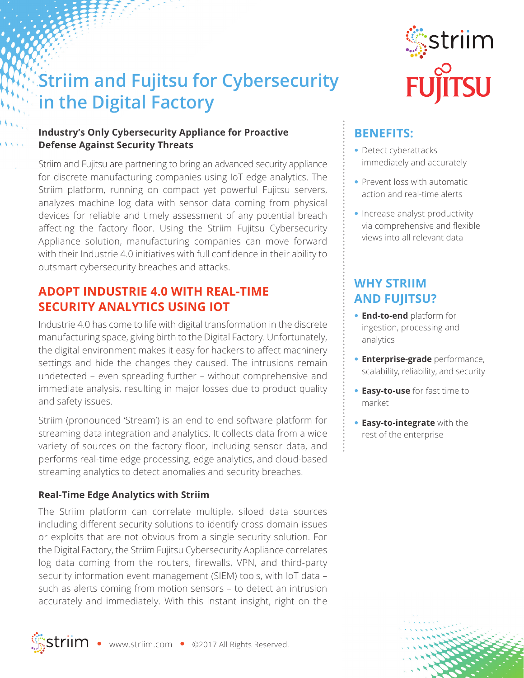# **Striim and Fujitsu for Cybersecurity in the Digital Factory**

#### **Industry's Only Cybersecurity Appliance for Proactive Defense Against Security Threats**

Striim and Fujitsu are partnering to bring an advanced security appliance for discrete manufacturing companies using IoT edge analytics. The Striim platform, running on compact yet powerful Fujitsu servers, analyzes machine log data with sensor data coming from physical devices for reliable and timely assessment of any potential breach affecting the factory floor. Using the Striim Fujitsu Cybersecurity Appliance solution, manufacturing companies can move forward with their Industrie 4.0 initiatives with full confidence in their ability to outsmart cybersecurity breaches and attacks.

### **ADOPT INDUSTRIE 4.0 WITH REAL-TIME SECURITY ANALYTICS USING IOT**

Industrie 4.0 has come to life with digital transformation in the discrete manufacturing space, giving birth to the Digital Factory. Unfortunately, the digital environment makes it easy for hackers to affect machinery settings and hide the changes they caused. The intrusions remain undetected – even spreading further – without comprehensive and immediate analysis, resulting in major losses due to product quality and safety issues.

Striim (pronounced 'Stream') is an end-to-end software platform for streaming data integration and analytics. It collects data from a wide variety of sources on the factory floor, including sensor data, and performs real-time edge processing, edge analytics, and cloud-based streaming analytics to detect anomalies and security breaches.

#### **Real-Time Edge Analytics with Striim**

The Striim platform can correlate multiple, siloed data sources including different security solutions to identify cross-domain issues or exploits that are not obvious from a single security solution. For the Digital Factory, the Striim Fujitsu Cybersecurity Appliance correlates log data coming from the routers, firewalls, VPN, and third-party security information event management (SIEM) tools, with IoT data – such as alerts coming from motion sensors – to detect an intrusion accurately and immediately. With this instant insight, right on the





# **BENEFITS:**

- **•** Detect cyberattacks immediately and accurately
- **•** Prevent loss with automatic action and real-time alerts
- **•** Increase analyst productivity via comprehensive and flexible views into all relevant data

## **WHY STRIIM AND FUJITSU?**

- **• End-to-end** platform for ingestion, processing and analytics
- **• Enterprise-grade** performance, scalability, reliability, and security
- **• Easy-to-use** for fast time to market
- **• Easy-to-integrate** with the rest of the enterprise